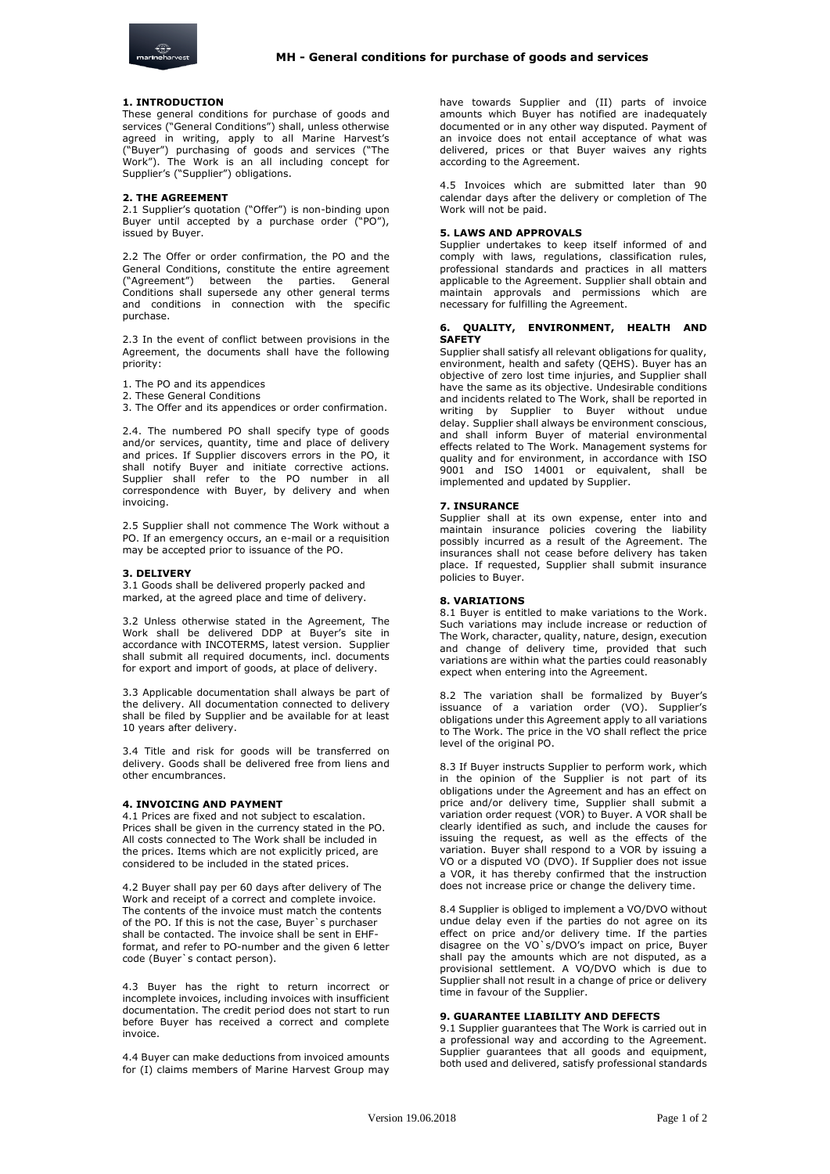

# **1. INTRODUCTION**

These general conditions for purchase of goods and services ("General Conditions") shall, unless otherwise agreed in writing, apply to all Marine Harvest's ("Buyer") purchasing of goods and services ("The Work"). The Work is an all including concept for Supplier's ("Supplier") obligations.

#### **2. THE AGREEMENT**

2.1 Supplier's quotation ("Offer") is non-binding upon Buyer until accepted by a purchase order ("PO"), issued by Buyer.

2.2 The Offer or order confirmation, the PO and the General Conditions, constitute the entire agreement ("Agreement") between the parties. General Conditions shall supersede any other general terms and conditions in connection with the specific purchase.

2.3 In the event of conflict between provisions in the Agreement, the documents shall have the following priority:

- 1. The PO and its appendices
- 2. These General Conditions

3. The Offer and its appendices or order confirmation.

2.4. The numbered PO shall specify type of goods and/or services, quantity, time and place of delivery and prices. If Supplier discovers errors in the PO, it shall notify Buyer and initiate corrective actions. Supplier shall refer to the PO number in all correspondence with Buyer, by delivery and when invoicing.

2.5 Supplier shall not commence The Work without a PO. If an emergency occurs, an e-mail or a requisition may be accepted prior to issuance of the PO.

#### **3. DELIVERY**

3.1 Goods shall be delivered properly packed and marked, at the agreed place and time of delivery.

3.2 Unless otherwise stated in the Agreement, The Work shall be delivered DDP at Buyer's site in accordance with INCOTERMS, latest version. Supplier shall submit all required documents, incl. documents for export and import of goods, at place of delivery.

3.3 Applicable documentation shall always be part of the delivery. All documentation connected to delivery shall be filed by Supplier and be available for at least 10 years after delivery.

3.4 Title and risk for goods will be transferred on delivery. Goods shall be delivered free from liens and other encumbrances.

# **4. INVOICING AND PAYMENT**

4.1 Prices are fixed and not subject to escalation. Prices shall be given in the currency stated in the PO. All costs connected to The Work shall be included in the prices. Items which are not explicitly priced, are considered to be included in the stated prices.

4.2 Buyer shall pay per 60 days after delivery of The Work and receipt of a correct and complete invoice. The contents of the invoice must match the contents of the PO. If this is not the case, Buyer`s purchaser shall be contacted. The invoice shall be sent in EHFformat, and refer to PO-number and the given 6 letter code (Buyer`s contact person).

4.3 Buyer has the right to return incorrect or incomplete invoices, including invoices with insufficient documentation. The credit period does not start to run before Buyer has received a correct and complete invoice.

4.4 Buyer can make deductions from invoiced amounts for (I) claims members of Marine Harvest Group may have towards Supplier and (II) parts of invoice amounts which Buyer has notified are inadequately documented or in any other way disputed. Payment of an invoice does not entail acceptance of what was delivered, prices or that Buyer waives any rights according to the Agreement.

4.5 Invoices which are submitted later than 90 calendar days after the delivery or completion of The Work will not be paid.

### **5. LAWS AND APPROVALS**

Supplier undertakes to keep itself informed of and comply with laws, regulations, classification rules, professional standards and practices in all matters applicable to the Agreement. Supplier shall obtain and maintain approvals and permissions which are necessary for fulfilling the Agreement.

# **6. QUALITY, ENVIRONMENT, HEALTH AND SAFETY**

Supplier shall satisfy all relevant obligations for quality, environment, health and safety (QEHS). Buyer has an objective of zero lost time injuries, and Supplier shall have the same as its objective. Undesirable conditions and incidents related to The Work, shall be reported in writing by Supplier to Buyer without undue delay. Supplier shall always be environment conscious, and shall inform Buyer of material environmental effects related to The Work. Management systems for quality and for environment, in accordance with ISO 9001 and ISO 14001 or equivalent, shall be implemented and updated by Supplier.

#### **7. INSURANCE**

Supplier shall at its own expense, enter into and maintain insurance policies covering the liability possibly incurred as a result of the Agreement. The insurances shall not cease before delivery has taken place. If requested, Supplier shall submit insurance policies to Buyer.

#### **8. VARIATIONS**

8.1 Buyer is entitled to make variations to the Work. Such variations may include increase or reduction of The Work, character, quality, nature, design, execution and change of delivery time, provided that such variations are within what the parties could reasonably expect when entering into the Agreement.

8.2 The variation shall be formalized by Buyer's issuance of a variation order (VO). Supplier's obligations under this Agreement apply to all variations to The Work. The price in the VO shall reflect the price level of the original PO.

8.3 If Buyer instructs Supplier to perform work, which in the opinion of the Supplier is not part of its obligations under the Agreement and has an effect on price and/or delivery time, Supplier shall submit a variation order request (VOR) to Buyer. A VOR shall be clearly identified as such, and include the causes for issuing the request, as well as the effects of the variation. Buyer shall respond to a VOR by issuing a VO or a disputed VO (DVO). If Supplier does not issue a VOR, it has thereby confirmed that the instruction does not increase price or change the delivery time.

8.4 Supplier is obliged to implement a VO/DVO without undue delay even if the parties do not agree on its effect on price and/or delivery time. If the parties disagree on the VO`s/DVO's impact on price, Buyer shall pay the amounts which are not disputed, as a provisional settlement. A VO/DVO which is due to Supplier shall not result in a change of price or delivery time in favour of the Supplier.

## **9. GUARANTEE LIABILITY AND DEFECTS**

9.1 Supplier guarantees that The Work is carried out in a professional way and according to the Agreement. Supplier guarantees that all goods and equipment, both used and delivered, satisfy professional standards